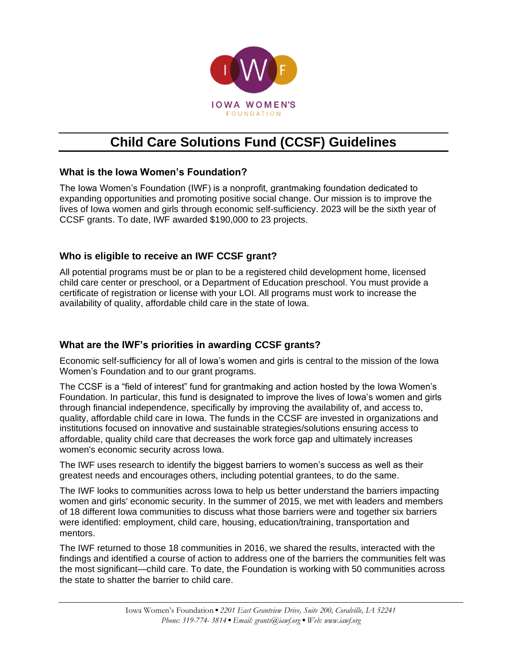

# **Child Care Solutions Fund (CCSF) Guidelines**

# **What is the Iowa Women's Foundation?**

The Iowa Women's Foundation (IWF) is a nonprofit, grantmaking foundation dedicated to expanding opportunities and promoting positive social change. Our mission is to improve the lives of Iowa women and girls through economic self-sufficiency. 2023 will be the sixth year of CCSF grants. To date, IWF awarded \$190,000 to 23 projects.

# **Who is eligible to receive an IWF CCSF grant?**

All potential programs must be or plan to be a registered child development home, licensed child care center or preschool, or a Department of Education preschool. You must provide a certificate of registration or license with your LOI. All programs must work to increase the availability of quality, affordable child care in the state of Iowa.

# **What are the IWF's priorities in awarding CCSF grants?**

Economic self-sufficiency for all of Iowa's women and girls is central to the mission of the Iowa Women's Foundation and to our grant programs.

The CCSF is a "field of interest" fund for grantmaking and action hosted by the Iowa Women's Foundation. In particular, this fund is designated to improve the lives of Iowa's women and girls through financial independence, specifically by improving the availability of, and access to, quality, affordable child care in Iowa. The funds in the CCSF are invested in organizations and institutions focused on innovative and sustainable strategies/solutions ensuring access to affordable, quality child care that decreases the work force gap and ultimately increases women's economic security across Iowa.

The IWF uses research to identify the biggest barriers to women's success as well as their greatest needs and encourages others, including potential grantees, to do the same.

The IWF looks to communities across Iowa to help us better understand the barriers impacting women and girls' economic security. In the summer of 2015, we met with leaders and members of 18 different Iowa communities to discuss what those barriers were and together six barriers were identified: employment, child care, housing, education/training, transportation and mentors.

The IWF returned to those 18 communities in 2016, we shared the results, interacted with the findings and identified a course of action to address one of the barriers the communities felt was the most significant—child care. To date, the Foundation is working with 50 communities across the state to shatter the barrier to child care.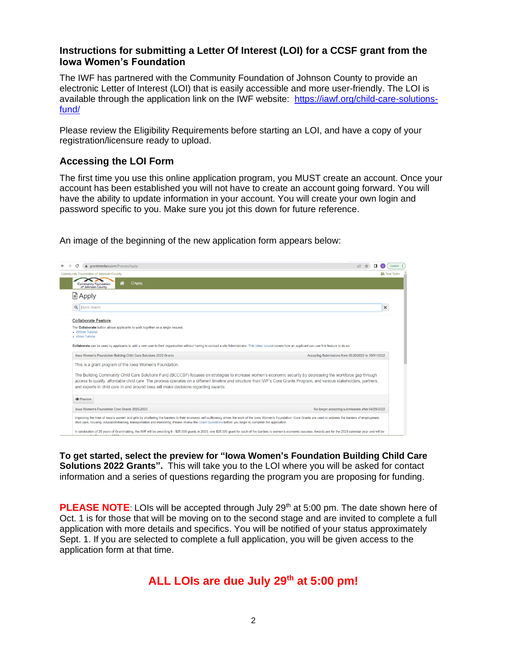#### **Instructions for submitting a Letter Of Interest (LOI) for a CCSF grant from the Iowa Women's Foundation**

The IWF has partnered with the Community Foundation of Johnson County to provide an electronic Letter of Interest (LOI) that is easily accessible and more user-friendly. The LOI is available through the application link on the IWF website: [https://iawf.org/child-care-solutions](https://iawf.org/child-care-solutions-fund/)[fund/](https://iawf.org/child-care-solutions-fund/)

Please review the Eligibility Requirements before starting an LOI, and have a copy of your registration/licensure ready to upload.

#### **Accessing the LOI Form**

The first time you use this online application program, you MUST create an account. Once your account has been established you will not have to create an account going forward. You will have the ability to update information in your account. You will create your own login and password specific to you. Make sure you jot this down for future reference.

 $\leftarrow$   $\rightarrow$  C' a grantinterface.com/Process/Apply  $\begin{tabular}{ccccc} $\triangle$ & $\triangle$ & $\blacksquare$ & $\mathbb{O}$ & $\mathbb{O}$ & $\mathbb{O}$ & $\mathbb{O}$ \\ \hline $\mathbb{O}$ & $\uparrow$ & $\mathbb{O}$ & $\mathbb{O}$ & $\mathbb{O}$ & $\mathbb{O}$ & $\mathbb{O}$ & $\mathbb{O}$ \\ \end{tabular}$  $\frac{24}{24}$  Test Test  $\star$  $\mathbf{X}$ Community Foundation **Apply** Q | Quick Search  $\mathbf{x}$ **Collaborate Feature** The Collaborate button allows applicants to work together on a single request. Mideo Tutorial ate can be used by applicants to add a new user to their organization without having to contact a site Administrator. This video tutorial covers how an applicant can use this feature to do Iowa Women's Foundation Building Child Care Solutions 2022 Grants Accepting Submissions from 06/20/2022 to 10/01/2022 This is a grant program of the Iowa Women's Foundation. The Building Community Child Care Solutions Fund (BCCCSF) focuses on strategies to increase women's economic security by decreasing the workforce gap through access to quality, affordable child care. The process operates on a different timeline and structure than IWF's Core Grants Program, and various stakeholders, partners, and experts in child care in and around lowa will make decisions regarding awards.  $\bullet$  Preview Iowa Women's Foundation Core Grants 2022-2023 No longer accepting submissions after 04/29/2022 ing the lives of lowa's women and girls by shattering the barriers to their economic self-sufficiency drives the work of the lowa Women's Foundation. Core Grants are used to address the barriers of employ<br>are, housing, edu In celebration of 25 years of Grantmaking, the IWF will be awarding 6 - \$25,000 grants in 2023, one \$25,000 grant for each of the barriers to women's economic success. Awards are for the 2023 calendar year and will be

An image of the beginning of the new application form appears below:

**To get started, select the preview for "Iowa Women's Foundation Building Child Care Solutions 2022 Grants".** This will take you to the LOI where you will be asked for contact information and a series of questions regarding the program you are proposing for funding.

**PLEASE NOTE:** LOIs will be accepted through July 29<sup>th</sup> at 5:00 pm. The date shown here of Oct. 1 is for those that will be moving on to the second stage and are invited to complete a full application with more details and specifics. You will be notified of your status approximately Sept. 1. If you are selected to complete a full application, you will be given access to the application form at that time.

# **ALL LOIs are due July 29th at 5:00 pm!**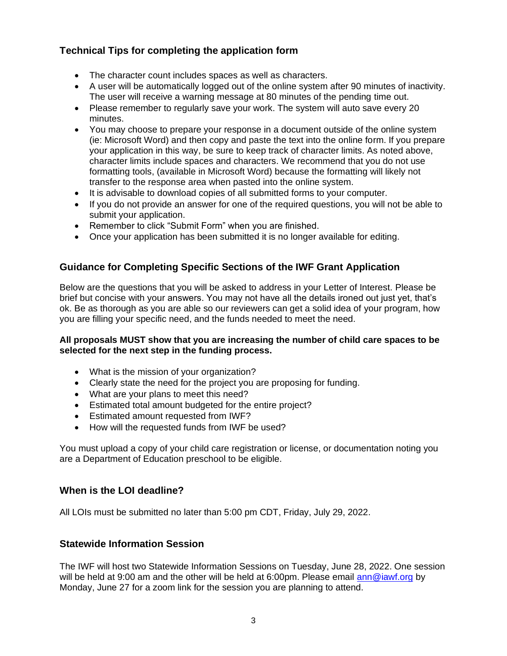# **Technical Tips for completing the application form**

- The character count includes spaces as well as characters.
- A user will be automatically logged out of the online system after 90 minutes of inactivity. The user will receive a warning message at 80 minutes of the pending time out.
- Please remember to regularly save your work. The system will auto save every 20 minutes.
- You may choose to prepare your response in a document outside of the online system (ie: Microsoft Word) and then copy and paste the text into the online form. If you prepare your application in this way, be sure to keep track of character limits. As noted above, character limits include spaces and characters. We recommend that you do not use formatting tools, (available in Microsoft Word) because the formatting will likely not transfer to the response area when pasted into the online system.
- It is advisable to download copies of all submitted forms to your computer.
- If you do not provide an answer for one of the required questions, you will not be able to submit your application.
- Remember to click "Submit Form" when you are finished.
- Once your application has been submitted it is no longer available for editing.

#### **Guidance for Completing Specific Sections of the IWF Grant Application**

Below are the questions that you will be asked to address in your Letter of Interest. Please be brief but concise with your answers. You may not have all the details ironed out just yet, that's ok. Be as thorough as you are able so our reviewers can get a solid idea of your program, how you are filling your specific need, and the funds needed to meet the need.

#### **All proposals MUST show that you are increasing the number of child care spaces to be selected for the next step in the funding process.**

- What is the mission of your organization?
- Clearly state the need for the project you are proposing for funding.
- What are your plans to meet this need?
- Estimated total amount budgeted for the entire project?
- Estimated amount requested from IWF?
- How will the requested funds from IWF be used?

You must upload a copy of your child care registration or license, or documentation noting you are a Department of Education preschool to be eligible.

#### **When is the LOI deadline?**

All LOIs must be submitted no later than 5:00 pm CDT, Friday, July 29, 2022.

#### **Statewide Information Session**

The IWF will host two Statewide Information Sessions on Tuesday, June 28, 2022. One session will be held at 9:00 am and the other will be held at 6:00pm. Please email [ann@iawf.org](mailto:ann@iawf.org) by Monday, June 27 for a zoom link for the session you are planning to attend.